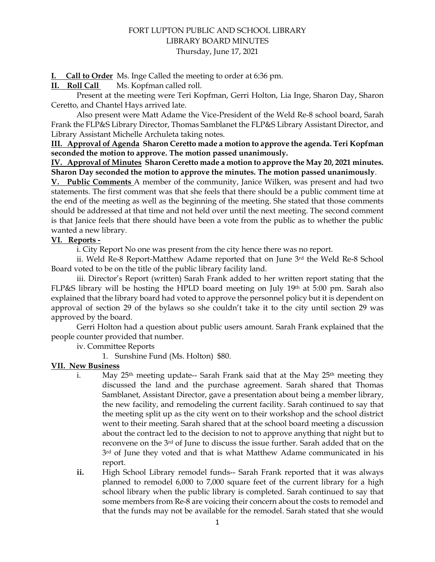# FORT LUPTON PUBLIC AND SCHOOL LIBRARY LIBRARY BOARD MINUTES Thursday, June 17, 2021

**I. Call to Order** Ms. Inge Called the meeting to order at 6:36 pm.

**II. Roll Call** Ms. Kopfman called roll.

Present at the meeting were Teri Kopfman, Gerri Holton, Lia Inge, Sharon Day, Sharon Ceretto, and Chantel Hays arrived late.

 Also present were Matt Adame the Vice-President of the Weld Re-8 school board, Sarah Frank the FLP&S Library Director, Thomas Samblanet the FLP&S Library Assistant Director, and Library Assistant Michelle Archuleta taking notes.

**III. Approval of Agenda Sharon Ceretto made a motion to approve the agenda. Teri Kopfman seconded the motion to approve. The motion passed unanimously.**

**IV. Approval of Minutes Sharon Ceretto made a motion to approve the May 20, 2021 minutes. Sharon Day seconded the motion to approve the minutes. The motion passed unanimously**.

**V. Public Comments** A member of the community, Janice Wilken, was present and had two statements. The first comment was that she feels that there should be a public comment time at the end of the meeting as well as the beginning of the meeting. She stated that those comments should be addressed at that time and not held over until the next meeting. The second comment is that Janice feels that there should have been a vote from the public as to whether the public wanted a new library.

#### **VI. Reports -**

i. City Report No one was present from the city hence there was no report.

ii. Weld Re-8 Report-Matthew Adame reported that on June 3rd the Weld Re-8 School Board voted to be on the title of the public library facility land.

iii. Director's Report (written) Sarah Frank added to her written report stating that the FLP&S library will be hosting the HPLD board meeting on July 19th at 5:00 pm. Sarah also explained that the library board had voted to approve the personnel policy but it is dependent on approval of section 29 of the bylaws so she couldn't take it to the city until section 29 was approved by the board.

Gerri Holton had a question about public users amount. Sarah Frank explained that the people counter provided that number.

iv. Committee Reports

1. Sunshine Fund (Ms. Holton) \$80.

### **VII. New Business**

- i. May  $25<sup>th</sup>$  meeting update-- Sarah Frank said that at the May  $25<sup>th</sup>$  meeting they discussed the land and the purchase agreement. Sarah shared that Thomas Samblanet, Assistant Director, gave a presentation about being a member library, the new facility, and remodeling the current facility. Sarah continued to say that the meeting split up as the city went on to their workshop and the school district went to their meeting. Sarah shared that at the school board meeting a discussion about the contract led to the decision to not to approve anything that night but to reconvene on the 3rd of June to discuss the issue further. Sarah added that on the 3<sup>rd</sup> of June they voted and that is what Matthew Adame communicated in his report.
- **ii.** High School Library remodel funds-- Sarah Frank reported that it was always planned to remodel 6,000 to 7,000 square feet of the current library for a high school library when the public library is completed. Sarah continued to say that some members from Re-8 are voicing their concern about the costs to remodel and that the funds may not be available for the remodel. Sarah stated that she would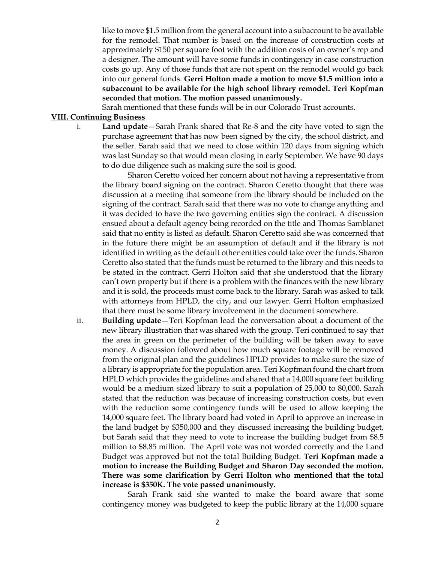like to move \$1.5 million from the general account into a subaccount to be available for the remodel. That number is based on the increase of construction costs at approximately \$150 per square foot with the addition costs of an owner's rep and a designer. The amount will have some funds in contingency in case construction costs go up. Any of those funds that are not spent on the remodel would go back into our general funds. **Gerri Holton made a motion to move \$1.5 million into a subaccount to be available for the high school library remodel. Teri Kopfman seconded that motion. The motion passed unanimously.**

Sarah mentioned that these funds will be in our Colorado Trust accounts.

### **VIII. Continuing Business**

i. **Land update**—Sarah Frank shared that Re-8 and the city have voted to sign the purchase agreement that has now been signed by the city, the school district, and the seller. Sarah said that we need to close within 120 days from signing which was last Sunday so that would mean closing in early September. We have 90 days to do due diligence such as making sure the soil is good.

Sharon Ceretto voiced her concern about not having a representative from the library board signing on the contract. Sharon Ceretto thought that there was discussion at a meeting that someone from the library should be included on the signing of the contract. Sarah said that there was no vote to change anything and it was decided to have the two governing entities sign the contract. A discussion ensued about a default agency being recorded on the title and Thomas Samblanet said that no entity is listed as default. Sharon Ceretto said she was concerned that in the future there might be an assumption of default and if the library is not identified in writing as the default other entities could take over the funds. Sharon Ceretto also stated that the funds must be returned to the library and this needs to be stated in the contract. Gerri Holton said that she understood that the library can't own property but if there is a problem with the finances with the new library and it is sold, the proceeds must come back to the library. Sarah was asked to talk with attorneys from HPLD, the city, and our lawyer. Gerri Holton emphasized that there must be some library involvement in the document somewhere.

ii. **Building update**—Teri Kopfman lead the conversation about a document of the new library illustration that was shared with the group. Teri continued to say that the area in green on the perimeter of the building will be taken away to save money. A discussion followed about how much square footage will be removed from the original plan and the guidelines HPLD provides to make sure the size of a library is appropriate for the population area. Teri Kopfman found the chart from HPLD which provides the guidelines and shared that a 14,000 square feet building would be a medium sized library to suit a population of 25,000 to 80,000. Sarah stated that the reduction was because of increasing construction costs, but even with the reduction some contingency funds will be used to allow keeping the 14,000 square feet. The library board had voted in April to approve an increase in the land budget by \$350,000 and they discussed increasing the building budget, but Sarah said that they need to vote to increase the building budget from \$8.5 million to \$8.85 million. The April vote was not worded correctly and the Land Budget was approved but not the total Building Budget. **Teri Kopfman made a motion to increase the Building Budget and Sharon Day seconded the motion. There was some clarification by Gerri Holton who mentioned that the total increase is \$350K. The vote passed unanimously.**

Sarah Frank said she wanted to make the board aware that some contingency money was budgeted to keep the public library at the 14,000 square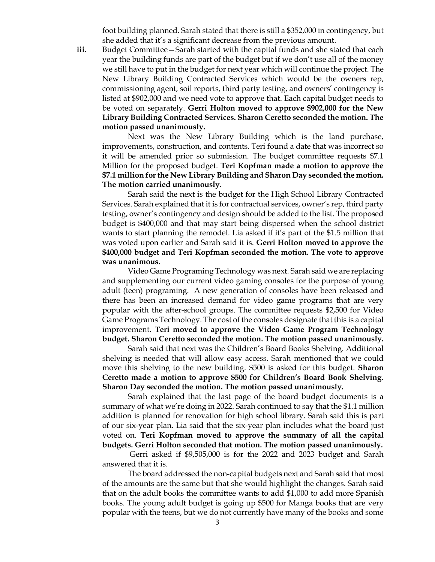foot building planned. Sarah stated that there is still a \$352,000 in contingency, but she added that it's a significant decrease from the previous amount.

**iii.** Budget Committee—Sarah started with the capital funds and she stated that each year the building funds are part of the budget but if we don't use all of the money we still have to put in the budget for next year which will continue the project. The New Library Building Contracted Services which would be the owners rep, commissioning agent, soil reports, third party testing, and owners' contingency is listed at \$902,000 and we need vote to approve that. Each capital budget needs to be voted on separately. **Gerri Holton moved to approve \$902,000 for the New Library Building Contracted Services. Sharon Ceretto seconded the motion. The motion passed unanimously.**

Next was the New Library Building which is the land purchase, improvements, construction, and contents. Teri found a date that was incorrect so it will be amended prior so submission. The budget committee requests \$7.1 Million for the proposed budget. **Teri Kopfman made a motion to approve the \$7.1 million for the New Library Building and Sharon Day seconded the motion. The motion carried unanimously.**

Sarah said the next is the budget for the High School Library Contracted Services. Sarah explained that it is for contractual services, owner's rep, third party testing, owner's contingency and design should be added to the list. The proposed budget is \$400,000 and that may start being dispersed when the school district wants to start planning the remodel. Lia asked if it's part of the \$1.5 million that was voted upon earlier and Sarah said it is. **Gerri Holton moved to approve the \$400,000 budget and Teri Kopfman seconded the motion. The vote to approve was unanimous.**

Video Game Programing Technology was next. Sarah said we are replacing and supplementing our current video gaming consoles for the purpose of young adult (teen) programing. A new generation of consoles have been released and there has been an increased demand for video game programs that are very popular with the after-school groups. The committee requests \$2,500 for Video Game Programs Technology. The cost of the consoles designate that this is a capital improvement. **Teri moved to approve the Video Game Program Technology budget. Sharon Ceretto seconded the motion. The motion passed unanimously.** 

Sarah said that next was the Children's Board Books Shelving. Additional shelving is needed that will allow easy access. Sarah mentioned that we could move this shelving to the new building. \$500 is asked for this budget. **Sharon Ceretto made a motion to approve \$500 for Children's Board Book Shelving. Sharon Day seconded the motion. The motion passed unanimously.**

Sarah explained that the last page of the board budget documents is a summary of what we're doing in 2022. Sarah continued to say that the \$1.1 million addition is planned for renovation for high school library. Sarah said this is part of our six-year plan. Lia said that the six-year plan includes what the board just voted on. **Teri Kopfman moved to approve the summary of all the capital budgets. Gerri Holton seconded that motion. The motion passed unanimously.**

Gerri asked if \$9,505,000 is for the 2022 and 2023 budget and Sarah answered that it is.

The board addressed the non-capital budgets next and Sarah said that most of the amounts are the same but that she would highlight the changes. Sarah said that on the adult books the committee wants to add \$1,000 to add more Spanish books. The young adult budget is going up \$500 for Manga books that are very popular with the teens, but we do not currently have many of the books and some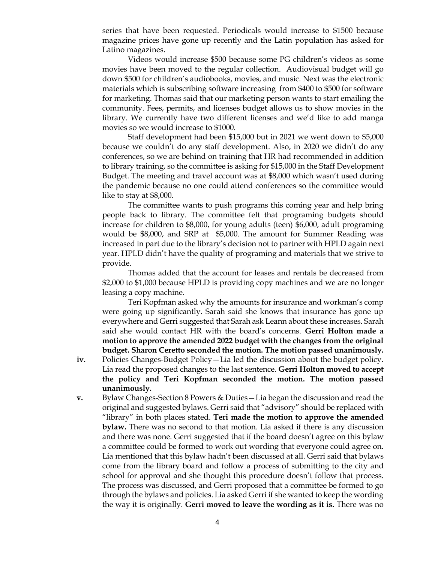series that have been requested. Periodicals would increase to \$1500 because magazine prices have gone up recently and the Latin population has asked for Latino magazines.

Videos would increase \$500 because some PG children's videos as some movies have been moved to the regular collection. Audiovisual budget will go down \$500 for children's audiobooks, movies, and music. Next was the electronic materials which is subscribing software increasing from \$400 to \$500 for software for marketing. Thomas said that our marketing person wants to start emailing the community. Fees, permits, and licenses budget allows us to show movies in the library. We currently have two different licenses and we'd like to add manga movies so we would increase to \$1000.

Staff development had been \$15,000 but in 2021 we went down to \$5,000 because we couldn't do any staff development. Also, in 2020 we didn't do any conferences, so we are behind on training that HR had recommended in addition to library training, so the committee is asking for \$15,000 in the Staff Development Budget. The meeting and travel account was at \$8,000 which wasn't used during the pandemic because no one could attend conferences so the committee would like to stay at \$8,000.

The committee wants to push programs this coming year and help bring people back to library. The committee felt that programing budgets should increase for children to \$8,000, for young adults (teen) \$6,000, adult programing would be \$8,000, and SRP at \$5,000. The amount for Summer Reading was increased in part due to the library's decision not to partner with HPLD again next year. HPLD didn't have the quality of programing and materials that we strive to provide.

Thomas added that the account for leases and rentals be decreased from \$2,000 to \$1,000 because HPLD is providing copy machines and we are no longer leasing a copy machine.

Teri Kopfman asked why the amounts for insurance and workman's comp were going up significantly. Sarah said she knows that insurance has gone up everywhere and Gerri suggested that Sarah ask Leann about these increases. Sarah said she would contact HR with the board's concerns. **Gerri Holton made a motion to approve the amended 2022 budget with the changes from the original budget. Sharon Ceretto seconded the motion. The motion passed unanimously.**

- **iv.** Policies Changes-Budget Policy—Lia led the discussion about the budget policy. Lia read the proposed changes to the last sentence. **Gerri Holton moved to accept the policy and Teri Kopfman seconded the motion. The motion passed unanimously.**
- **v.** Bylaw Changes-Section 8 Powers & Duties—Lia began the discussion and read the original and suggested bylaws. Gerri said that "advisory" should be replaced with "library" in both places stated. **Teri made the motion to approve the amended bylaw.** There was no second to that motion. Lia asked if there is any discussion and there was none. Gerri suggested that if the board doesn't agree on this bylaw a committee could be formed to work out wording that everyone could agree on. Lia mentioned that this bylaw hadn't been discussed at all. Gerri said that bylaws come from the library board and follow a process of submitting to the city and school for approval and she thought this procedure doesn't follow that process. The process was discussed, and Gerri proposed that a committee be formed to go through the bylaws and policies. Lia asked Gerri if she wanted to keep the wording the way it is originally. **Gerri moved to leave the wording as it is.** There was no